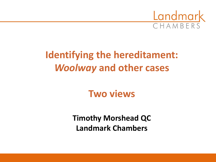

# **Identifying the hereditament:** *Woolway* **and other cases**

## **Two views**

**Timothy Morshead QC Landmark Chambers**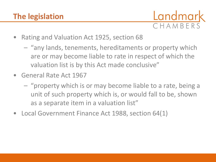

- Rating and Valuation Act 1925, section 68
	- "any lands, tenements, hereditaments or property which are or may become liable to rate in respect of which the valuation list is by this Act made conclusive"
- General Rate Act 1967
	- "property which is or may become liable to a rate, being a unit of such property which is, or would fall to be, shown as a separate item in a valuation list"
- Local Government Finance Act 1988, section 64(1)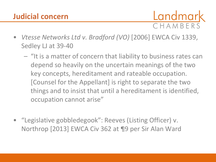#### **Judicial concern**

Landmark CHAMBERS

- *Vtesse Networks Ltd v. Bradford (VO)* [2006] EWCA Civ 1339, Sedley LJ at 39-40
	- "It is a matter of concern that liability to business rates can depend so heavily on the uncertain meanings of the two key concepts, hereditament and rateable occupation. [Counsel for the Appellant] is right to separate the two things and to insist that until a hereditament is identified, occupation cannot arise"
- "Legislative gobbledegook": Reeves (Listing Officer) v. Northrop [2013] EWCA Civ 362 at ¶9 per Sir Alan Ward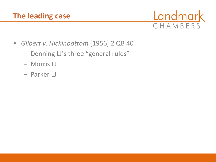### **The leading case**



- *Gilbert v. Hickinbottom* [1956] 2 QB 40
	- Denning LJ's three "general rules"
	- Morris LJ
	- Parker LJ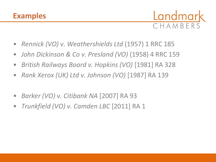

- *Rennick (VO) v. Weathershields Ltd* (1957) 1 RRC 185
- *John Dickinson & Co v. Presland (VO)* (1958) 4 RRC 159
- *British Railways Board v. Hopkins (VO)* [1981] RA 328
- *Rank Xerox (UK) Ltd v. Johnson (VO)* [1987] RA 139
- *Barker (VO) v. Citibank NA* [2007] RA 93
- *Trunkfield (VO) v. Camden LBC* [2011] RA 1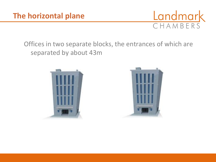

#### Offices in two separate blocks, the entrances of which are separated by about 43m



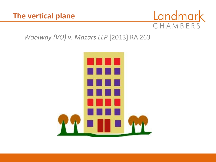

#### *Woolway (VO) v. Mazars LLP* [2013] RA 263

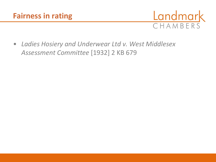

• *Ladies Hosiery and Underwear Ltd v. West Middlesex Assessment Committee* [1932] 2 KB 679